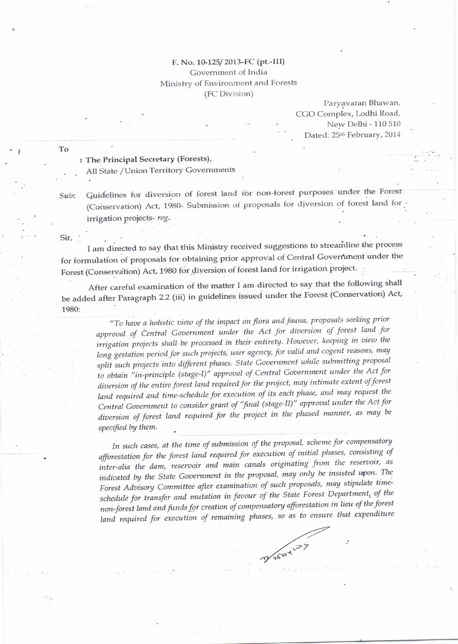## F. No. 10-125/2013-FC (pt.-III) Government of India

## Ministry of Environment and Forests (FC Division)

Paryavaran Bhawan, CGO Complex, Lodhi Road, New Delhi - 110 510 Dated: 25th February, 2014

: The Principal Secretary (Forests),

All State / Union Territory Governments

Guidelines for diversion of forest land for non-forest purposes under the Forest Sub: (Conservation) Act, 1980- Submission of proposals for diversion of forest land for irrigation projects-reg.

Sir,

To

I am directed to say that this Ministry received suggestions to streamline the process for formulation of proposals for obtaining prior approval of Central Government under the Forest (Conservation) Act, 1980 for diversion of forest land for irrigation project.

After careful examination of the matter I am directed to say that the following shall be added after Paragraph 2.2 (iii) in guidelines issued under the Forest (Conservation) Act, 1980:

> "To have a holistic view of the impact on flora and fauna, proposals seeking prior approval of Central Government under the Act for diversion of forest land for irrigation projects shall be processed in their entirety. However, keeping in view the long gestation period for such projects, user agency, for valid and cogent reasons, may split such projects into different phases. State Government while submitting proposal to obtain "in-principle (stage-I)" approval of Central Government under the Act for diversion of the entire forest land required for the project, may intimate extent of forest land required and time-schedule for execution of its each phase, and may request the Central Government to consider grant of "final (stage-II)" approval under the Act for diversion of forest land required for the project in the phased manner, as may be specified by them.

> In such cases, at the time of submission of the proposal, scheme for compensatory afforestation for the forest land required for execution of initial phases, consisting of inter-alia the dam, reservoir and main canals originating from the reservoir, as indicated by the State Government in the proposal, may only be insisted upon. The Forest Advisory Committee after examination of such proposals, may stipulate timeschedule for transfer and mutation in favour of the State Forest Department, of the non-forest land and funds for creation of compensatory afforestation in lieu of the forest land required for execution of remaining phases, so as to ensure that expenditure

Mary Ary